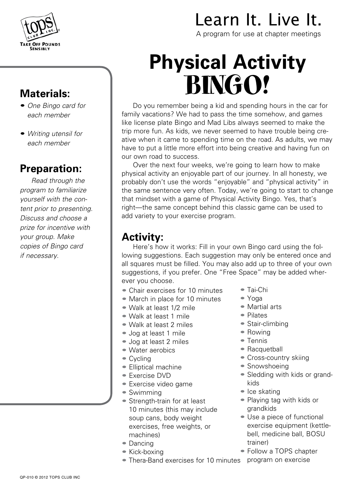

#### **Materials:**

- *One Bingo card for each member*
- *Writing utensil for each member*

#### **Preparation:**

*Read through the program to familiarize yourself with the content prior to presenting. Discuss and choose a prize for incentive with your group. Make copies of Bingo card if necessary.*

## Learn It. Live It.

A program for use at chapter meetings

# **Physical Activity**  BINGO!

Do you remember being a kid and spending hours in the car for family vacations? We had to pass the time somehow, and games like license plate Bingo and Mad Libs always seemed to make the trip more fun. As kids, we never seemed to have trouble being creative when it came to spending time on the road. As adults, we may have to put a little more effort into being creative and having fun on our own road to success.

Over the next four weeks, we're going to learn how to make physical activity an enjoyable part of our journey. In all honesty, we probably don't use the words "enjoyable" and "physical activity" in the same sentence very often. Today, we're going to start to change that mindset with a game of Physical Activity Bingo. Yes, that's right—the same concept behind this classic game can be used to add variety to your exercise program.

#### **Activity:**

Here's how it works: Fill in your own Bingo card using the following suggestions. Each suggestion may only be entered once and all squares must be filled. You may also add up to three of your own suggestions, if you prefer. One "Free Space" may be added wherever you choose.

- Chair exercises for 10 minutes
- March in place for 10 minutes
- Walk at least 1/2 mile
- Walk at least 1 mile
- Walk at least 2 miles
- Jog at least 1 mile
- Jog at least 2 miles
- Water aerobics
- Cycling
- Elliptical machine
- Exercise DVD
- Exercise video game
- Swimming
- Strength-train for at least 10 minutes (this may include soup cans, body weight exercises, free weights, or machines)
- Dancing
- Kick-boxing
- Thera-Band exercises for 10 minutes
- Tai-Chi
- Yoga
- Martial arts
- Pilates
- Stair-climbing
- Rowing
- Tennis
- Racquetball
- Cross-country skiing
- Snowshoeing
- Sledding with kids or grandkids
- Ice skating
- Playing tag with kids or grandkids
- Use a piece of functional exercise equipment (kettlebell, medicine ball, BOSU trainer)
- Follow a TOPS chapter program on exercise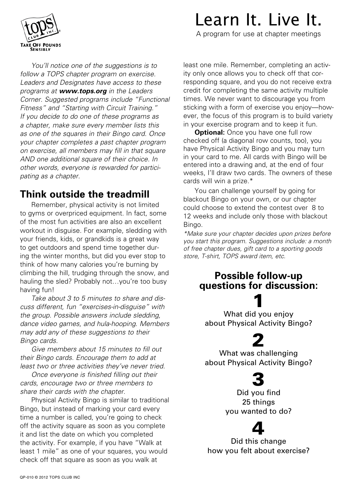

Learn It. Live It.

A program for use at chapter meetings

*You'll notice one of the suggestions is to follow a TOPS chapter program on exercise. Leaders and Designates have access to these programs at www.tops.org in the Leaders Corner. Suggested programs include "Functional Fitness" and "Starting with Circuit Training." If you decide to do one of these programs as a chapter, make sure every member lists this as one of the squares in their Bingo card. Once your chapter completes a past chapter program on exercise, all members may fill in that square AND one additional square of their choice. In other words, everyone is rewarded for participating as a chapter.*

#### **Think outside the treadmill**

Remember, physical activity is not limited to gyms or overpriced equipment. In fact, some of the most fun activities are also an excellent workout in disguise. For example, sledding with your friends, kids, or grandkids is a great way to get outdoors and spend time together during the winter months, but did you ever stop to think of how many calories you're burning by climbing the hill, trudging through the snow, and hauling the sled? Probably not…you're too busy having fun!

*Take about 3 to 5 minutes to share and discuss different, fun "exercises-in-disguise" with the group. Possible answers include sledding, dance video games, and hula-hooping. Members may add any of these suggestions to their Bingo cards.*

*Give members about 15 minutes to fill out their Bingo cards. Encourage them to add at least two or three activities they've never tried.*

*Once everyone is finished filling out their cards, encourage two or three members to share their cards with the chapter.* 

Physical Activity Bingo is similar to traditional Bingo, but instead of marking your card every time a number is called, you're going to check off the activity square as soon as you complete it and list the date on which you completed the activity. For example, if you have "Walk at least 1 mile" as one of your squares, you would check off that square as soon as you walk at

least one mile. Remember, completing an activity only once allows you to check off that corresponding square, and you do not receive extra credit for completing the same activity multiple times. We never want to discourage you from sticking with a form of exercise you enjoy—however, the focus of this program is to build variety in your exercise program and to keep it fun.

**Optional:** Once you have one full row checked off (a diagonal row counts, too), you have Physical Activity Bingo and you may turn in your card to me. All cards with Bingo will be entered into a drawing and, at the end of four weeks, I'll draw two cards. The owners of these cards will win a prize.\*

You can challenge yourself by going for blackout Bingo on your own, or our chapter could choose to extend the contest over 8 to 12 weeks and include only those with blackout Bingo.

*\*Make sure your chapter decides upon prizes before you start this program. Suggestions include: a month of free chapter dues, gift card to a sporting goods store, T-shirt, TOPS award item, etc.*

#### **Possible follow-up questions for discussion:**

1 What did you enjoy about Physical Activity Bingo?

### 2

What was challenging about Physical Activity Bingo?

### 3

Did you find 25 things you wanted to do?

### 4

Did this change how you felt about exercise?